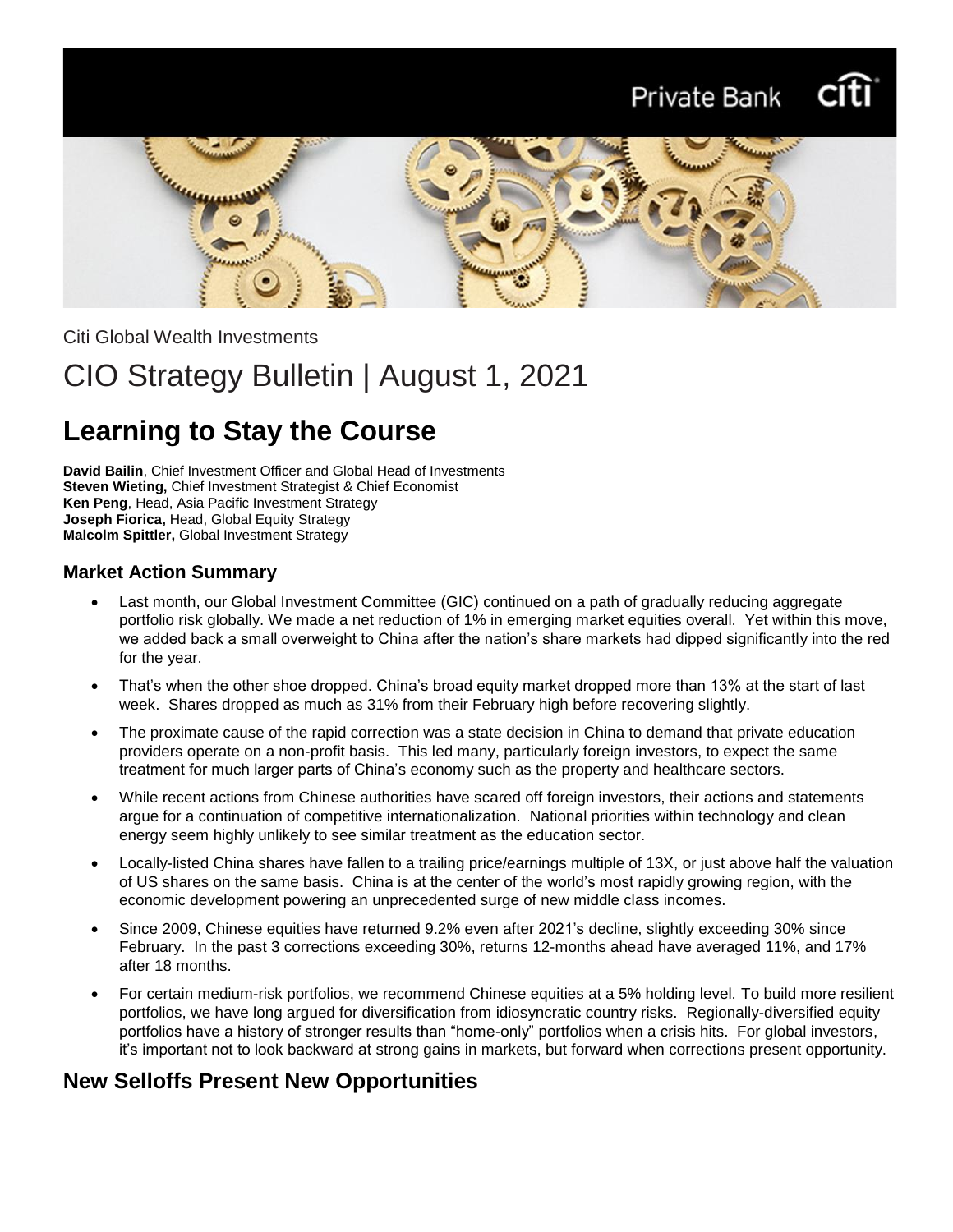# Private Bank Citi



Citi Global Wealth Investments

# CIO Strategy Bulletin | August 1, 2021

# **Learning to Stay the Course**

**David Bailin**, Chief Investment Officer and Global Head of Investments **Steven Wieting,** Chief Investment Strategist & Chief Economist **Ken Peng**, Head, Asia Pacific Investment Strategy **Joseph Fiorica,** Head, Global Equity Strategy **Malcolm Spittler,** Global Investment Strategy

### **Market Action Summary**

- Last month, our Global Investment Committee (GIC) continued on a path of gradually reducing aggregate portfolio risk globally. We made a net reduction of 1% in emerging market equities overall. Yet within this move, we added back a small overweight to China after the nation's share markets had dipped significantly into the red for the year.
- That's when the other shoe dropped. China's broad equity market dropped more than 13% at the start of last week. Shares dropped as much as 31% from their February high before recovering slightly.
- The proximate cause of the rapid correction was a state decision in China to demand that private education providers operate on a non-profit basis. This led many, particularly foreign investors, to expect the same treatment for much larger parts of China's economy such as the property and healthcare sectors.
- While recent actions from Chinese authorities have scared off foreign investors, their actions and statements argue for a continuation of competitive internationalization. National priorities within technology and clean energy seem highly unlikely to see similar treatment as the education sector.
- Locally-listed China shares have fallen to a trailing price/earnings multiple of 13X, or just above half the valuation of US shares on the same basis. China is at the center of the world's most rapidly growing region, with the economic development powering an unprecedented surge of new middle class incomes.
- Since 2009, Chinese equities have returned 9.2% even after 2021's decline, slightly exceeding 30% since February. In the past 3 corrections exceeding 30%, returns 12-months ahead have averaged 11%, and 17% after 18 months.
- For certain medium-risk portfolios, we recommend Chinese equities at a 5% holding level. To build more resilient portfolios, we have long argued for diversification from idiosyncratic country risks. Regionally-diversified equity portfolios have a history of stronger results than "home-only" portfolios when a crisis hits. For global investors, it's important not to look backward at strong gains in markets, but forward when corrections present opportunity.

### **New Selloffs Present New Opportunities**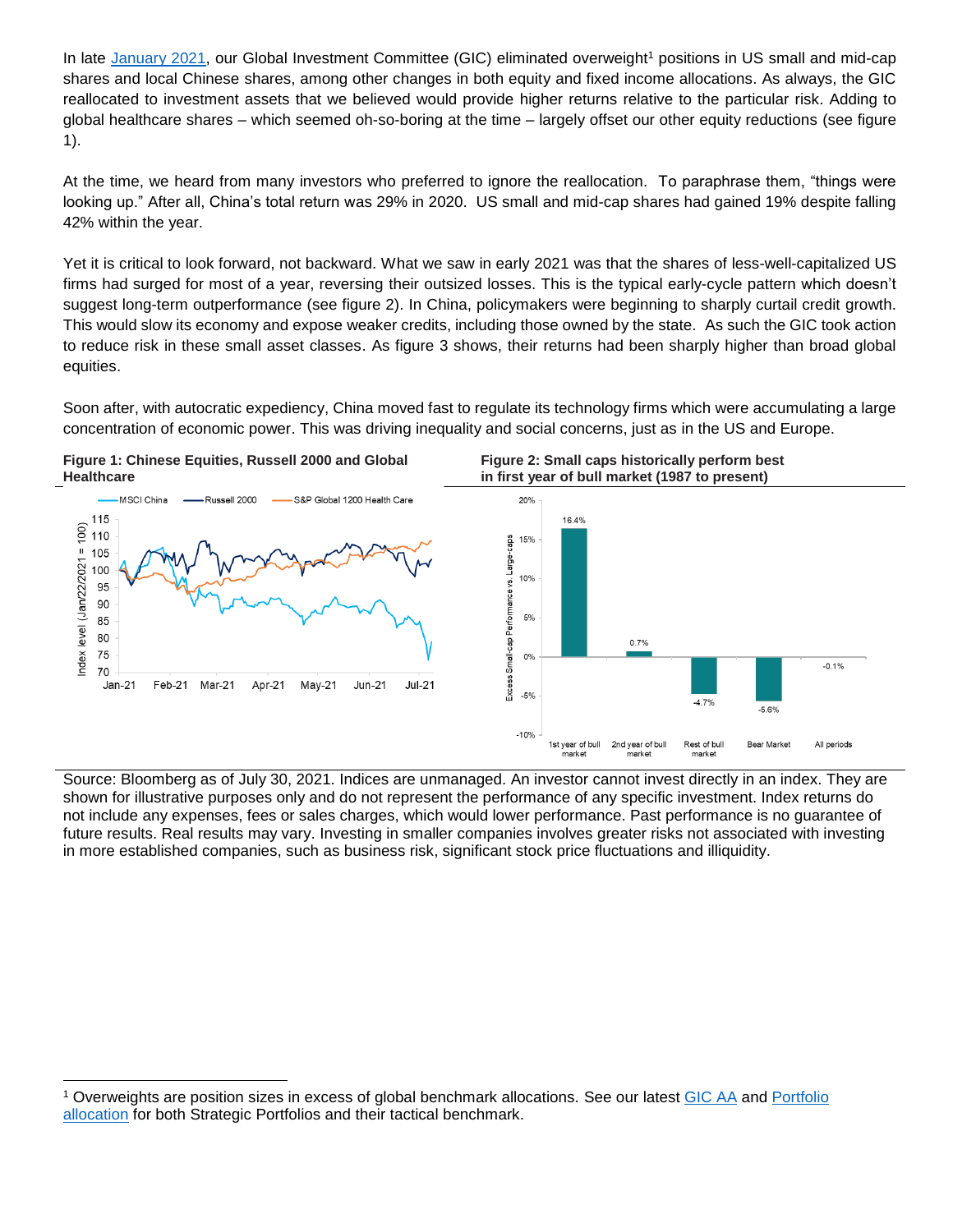In late [January 2021,](https://www.privatebank.citibank.com/ivc/docs/quadrant/gicaa-01272021.pdf) our Global Investment Committee (GIC) eliminated overweight<sup>1</sup> positions in US small and mid-cap shares and local Chinese shares, among other changes in both equity and fixed income allocations. As always, the GIC reallocated to investment assets that we believed would provide higher returns relative to the particular risk. Adding to global healthcare shares – which seemed oh-so-boring at the time – largely offset our other equity reductions (see figure 1).

At the time, we heard from many investors who preferred to ignore the reallocation. To paraphrase them, "things were looking up." After all, China's total return was 29% in 2020. US small and mid-cap shares had gained 19% despite falling 42% within the year.

Yet it is critical to look forward, not backward. What we saw in early 2021 was that the shares of less-well-capitalized US firms had surged for most of a year, reversing their outsized losses. This is the typical early-cycle pattern which doesn't suggest long-term outperformance (see figure 2). In China, policymakers were beginning to sharply curtail credit growth. This would slow its economy and expose weaker credits, including those owned by the state. As such the GIC took action to reduce risk in these small asset classes. As figure 3 shows, their returns had been sharply higher than broad global equities.

Soon after, with autocratic expediency, China moved fast to regulate its technology firms which were accumulating a large concentration of economic power. This was driving inequality and social concerns, just as in the US and Europe.



Source: Bloomberg as of July 30, 2021. Indices are unmanaged. An investor cannot invest directly in an index. They are shown for illustrative purposes only and do not represent the performance of any specific investment. Index returns do not include any expenses, fees or sales charges, which would lower performance. Past performance is no guarantee of future results. Real results may vary. Investing in smaller companies involves greater risks not associated with investing in more established companies, such as business risk, significant stock price fluctuations and illiquidity.

l

<sup>1</sup> Overweights are position sizes in excess of global benchmark allocations. See our latest [GIC AA](https://www.privatebank.citibank.com/ivc/docs/quadrant/gicaa-07212021.pdf) and [Portfolio](https://www.privatebank.citibank.com/ivc/docs/quadrant/gicappendix07212021.pdf)  [allocation](https://www.privatebank.citibank.com/ivc/docs/quadrant/gicappendix07212021.pdf) for both Strategic Portfolios and their tactical benchmark.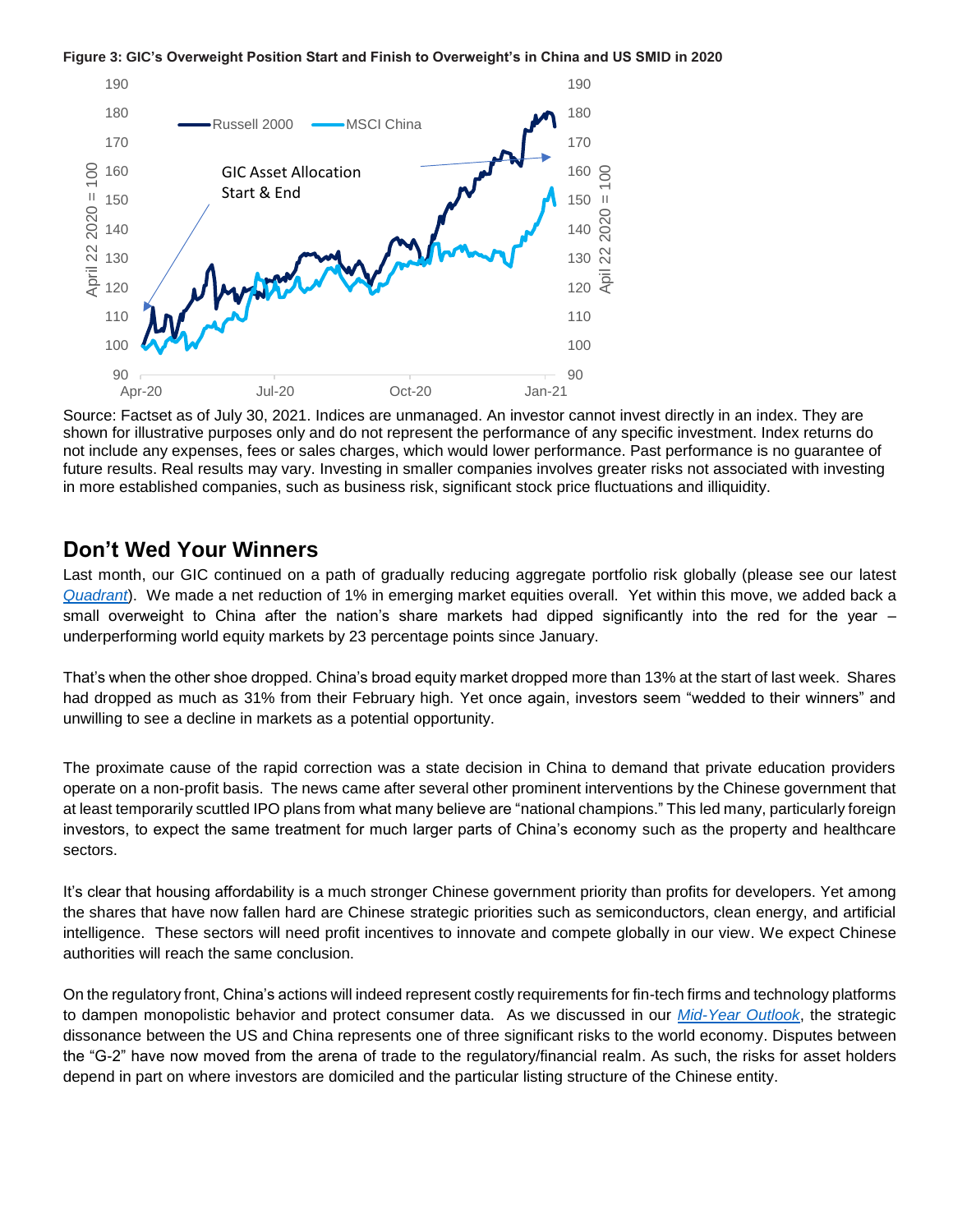



Source: Factset as of July 30, 2021. Indices are unmanaged. An investor cannot invest directly in an index. They are shown for illustrative purposes only and do not represent the performance of any specific investment. Index returns do not include any expenses, fees or sales charges, which would lower performance. Past performance is no guarantee of future results. Real results may vary. Investing in smaller companies involves greater risks not associated with investing in more established companies, such as business risk, significant stock price fluctuations and illiquidity.

### **Don't Wed Your Winners**

Last month, our GIC continued on a path of gradually reducing aggregate portfolio risk globally (please see our latest *[Quadrant](https://www.privatebank.citibank.com/ivc/docs/quadrant/CPB_Quadrant_07232021.pdf)*). We made a net reduction of 1% in emerging market equities overall. Yet within this move, we added back a small overweight to China after the nation's share markets had dipped significantly into the red for the year underperforming world equity markets by 23 percentage points since January.

That's when the other shoe dropped. China's broad equity market dropped more than 13% at the start of last week. Shares had dropped as much as 31% from their February high. Yet once again, investors seem "wedded to their winners" and unwilling to see a decline in markets as a potential opportunity.

The proximate cause of the rapid correction was a state decision in China to demand that private education providers operate on a non-profit basis. The news came after several other prominent interventions by the Chinese government that at least temporarily scuttled IPO plans from what many believe are "national champions." This led many, particularly foreign investors, to expect the same treatment for much larger parts of China's economy such as the property and healthcare sectors.

It's clear that housing affordability is a much stronger Chinese government priority than profits for developers. Yet among the shares that have now fallen hard are Chinese strategic priorities such as semiconductors, clean energy, and artificial intelligence. These sectors will need profit incentives to innovate and compete globally in our view. We expect Chinese authorities will reach the same conclusion.

On the regulatory front, China's actions will indeed represent costly requirements for fin-tech firms and technology platforms to dampen monopolistic behavior and protect consumer data. As we discussed in our *[Mid-Year Outlook](https://www.privatebank.citibank.com/newcpb-media/media/documents/outlook/Mid-Year-Outlook-2021_Citi-Global-Wealth-Investments.pdf)*, the strategic dissonance between the US and China represents one of three significant risks to the world economy. Disputes between the "G-2" have now moved from the arena of trade to the regulatory/financial realm. As such, the risks for asset holders depend in part on where investors are domiciled and the particular listing structure of the Chinese entity.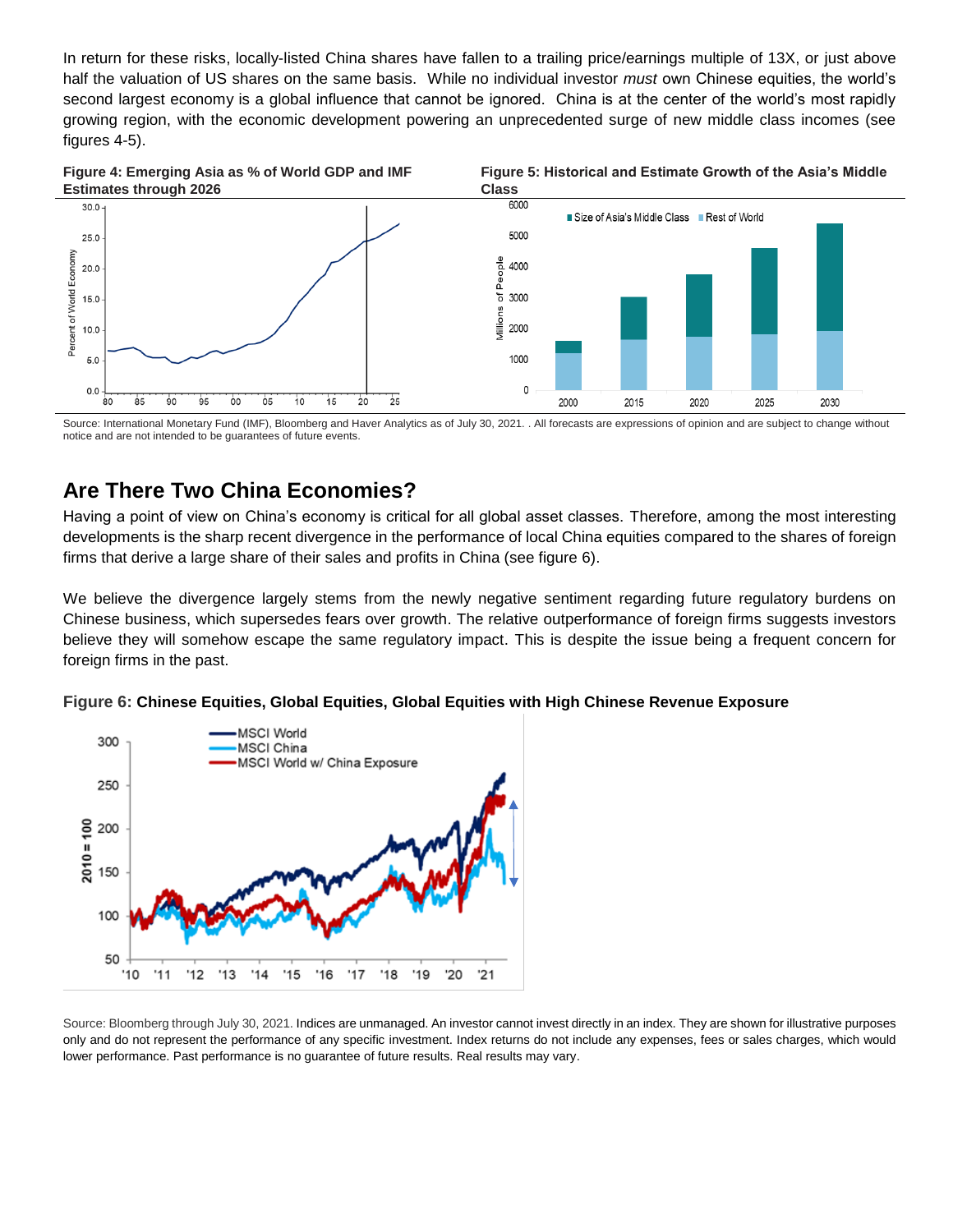In return for these risks, locally-listed China shares have fallen to a trailing price/earnings multiple of 13X, or just above half the valuation of US shares on the same basis. While no individual investor *must* own Chinese equities, the world's second largest economy is a global influence that cannot be ignored. China is at the center of the world's most rapidly growing region, with the economic development powering an unprecedented surge of new middle class incomes (see figures 4-5).



Source: International Monetary Fund (IMF), Bloomberg and Haver Analytics as of July 30, 2021. . All forecasts are expressions of opinion and are subject to change without notice and are not intended to be guarantees of future events.

## **Are There Two China Economies?**

Having a point of view on China's economy is critical for all global asset classes. Therefore, among the most interesting developments is the sharp recent divergence in the performance of local China equities compared to the shares of foreign firms that derive a large share of their sales and profits in China (see figure 6).

We believe the divergence largely stems from the newly negative sentiment regarding future regulatory burdens on Chinese business, which supersedes fears over growth. The relative outperformance of foreign firms suggests investors believe they will somehow escape the same regulatory impact. This is despite the issue being a frequent concern for foreign firms in the past.





Source: Bloomberg through July 30, 2021. Indices are unmanaged. An investor cannot invest directly in an index. They are shown for illustrative purposes only and do not represent the performance of any specific investment. Index returns do not include any expenses, fees or sales charges, which would lower performance. Past performance is no guarantee of future results. Real results may vary.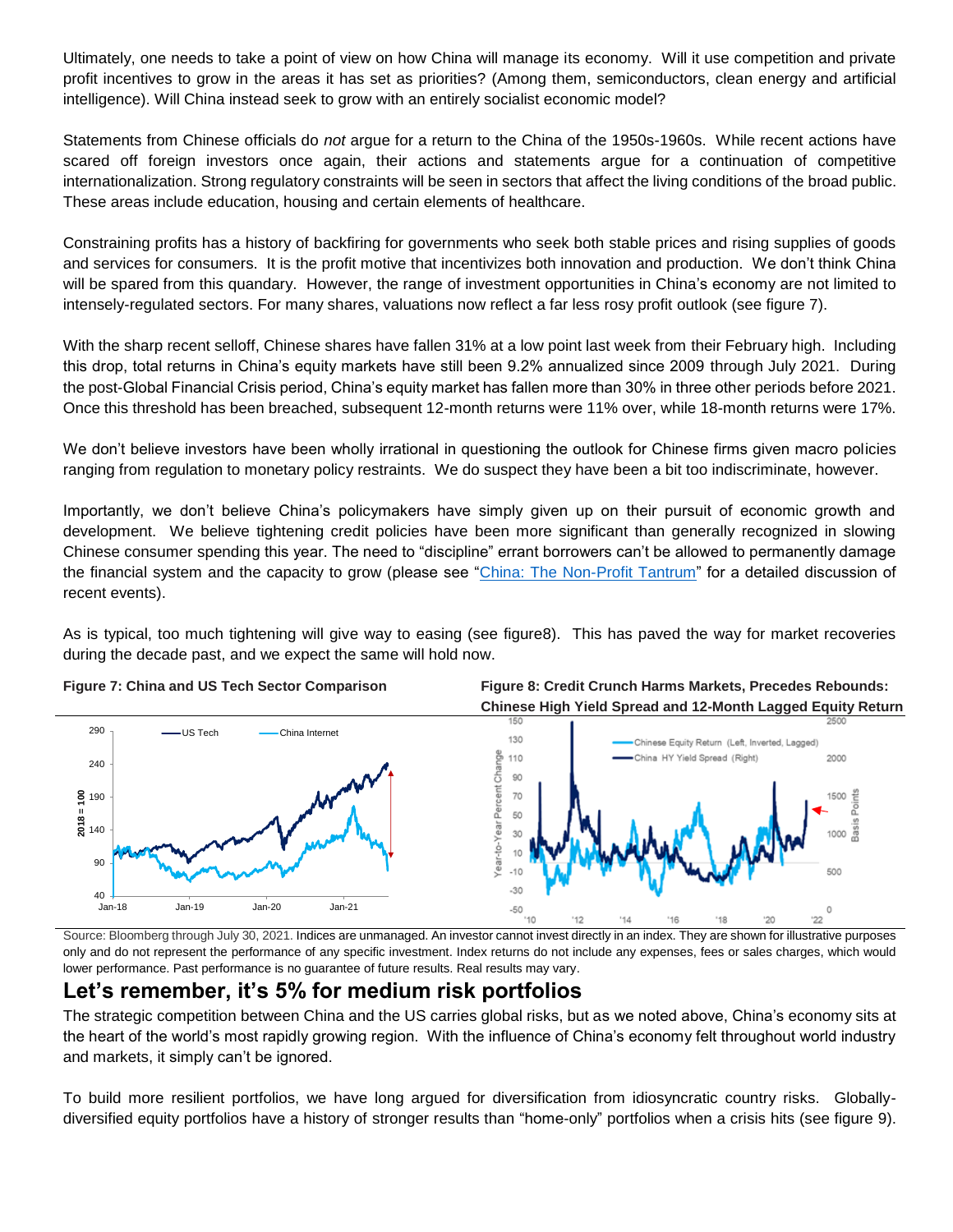Ultimately, one needs to take a point of view on how China will manage its economy. Will it use competition and private profit incentives to grow in the areas it has set as priorities? (Among them, semiconductors, clean energy and artificial intelligence). Will China instead seek to grow with an entirely socialist economic model?

Statements from Chinese officials do *not* argue for a return to the China of the 1950s-1960s. While recent actions have scared off foreign investors once again, their actions and statements argue for a continuation of competitive internationalization. Strong regulatory constraints will be seen in sectors that affect the living conditions of the broad public. These areas include education, housing and certain elements of healthcare.

Constraining profits has a history of backfiring for governments who seek both stable prices and rising supplies of goods and services for consumers. It is the profit motive that incentivizes both innovation and production. We don't think China will be spared from this quandary. However, the range of investment opportunities in China's economy are not limited to intensely-regulated sectors. For many shares, valuations now reflect a far less rosy profit outlook (see figure 7).

With the sharp recent selloff, Chinese shares have fallen 31% at a low point last week from their February high. Including this drop, total returns in China's equity markets have still been 9.2% annualized since 2009 through July 2021. During the post-Global Financial Crisis period, China's equity market has fallen more than 30% in three other periods before 2021. Once this threshold has been breached, subsequent 12-month returns were 11% over, while 18-month returns were 17%.

We don't believe investors have been wholly irrational in questioning the outlook for Chinese firms given macro policies ranging from regulation to monetary policy restraints. We do suspect they have been a bit too indiscriminate, however.

Importantly, we don't believe China's policymakers have simply given up on their pursuit of economic growth and development. We believe tightening credit policies have been more significant than generally recognized in slowing Chinese consumer spending this year. The need to "discipline" errant borrowers can't be allowed to permanently damage the financial system and the capacity to grow (please see ["China: The Non-Profit Tantrum"](https://www.privatebank.citibank.com/ivc/docs/quadrant/AsiaBulletin210728_China_Regulation.pdf) for a detailed discussion of recent events).

As is typical, too much tightening will give way to easing (see figure8). This has paved the way for market recoveries during the decade past, and we expect the same will hold now.



**Figure 7: China and US Tech Sector Comparison Figure 8: Credit Crunch Harms Markets, Precedes Rebounds:**

Source: Bloomberg through July 30, 2021. Indices are unmanaged. An investor cannot invest directly in an index. They are shown for illustrative purposes only and do not represent the performance of any specific investment. Index returns do not include any expenses, fees or sales charges, which would lower performance. Past performance is no guarantee of future results. Real results may vary.

## **Let's remember, it's 5% for medium risk portfolios**

The strategic competition between China and the US carries global risks, but as we noted above, China's economy sits at the heart of the world's most rapidly growing region. With the influence of China's economy felt throughout world industry and markets, it simply can't be ignored.

To build more resilient portfolios, we have long argued for diversification from idiosyncratic country risks. Globallydiversified equity portfolios have a history of stronger results than "home-only" portfolios when a crisis hits (see figure 9).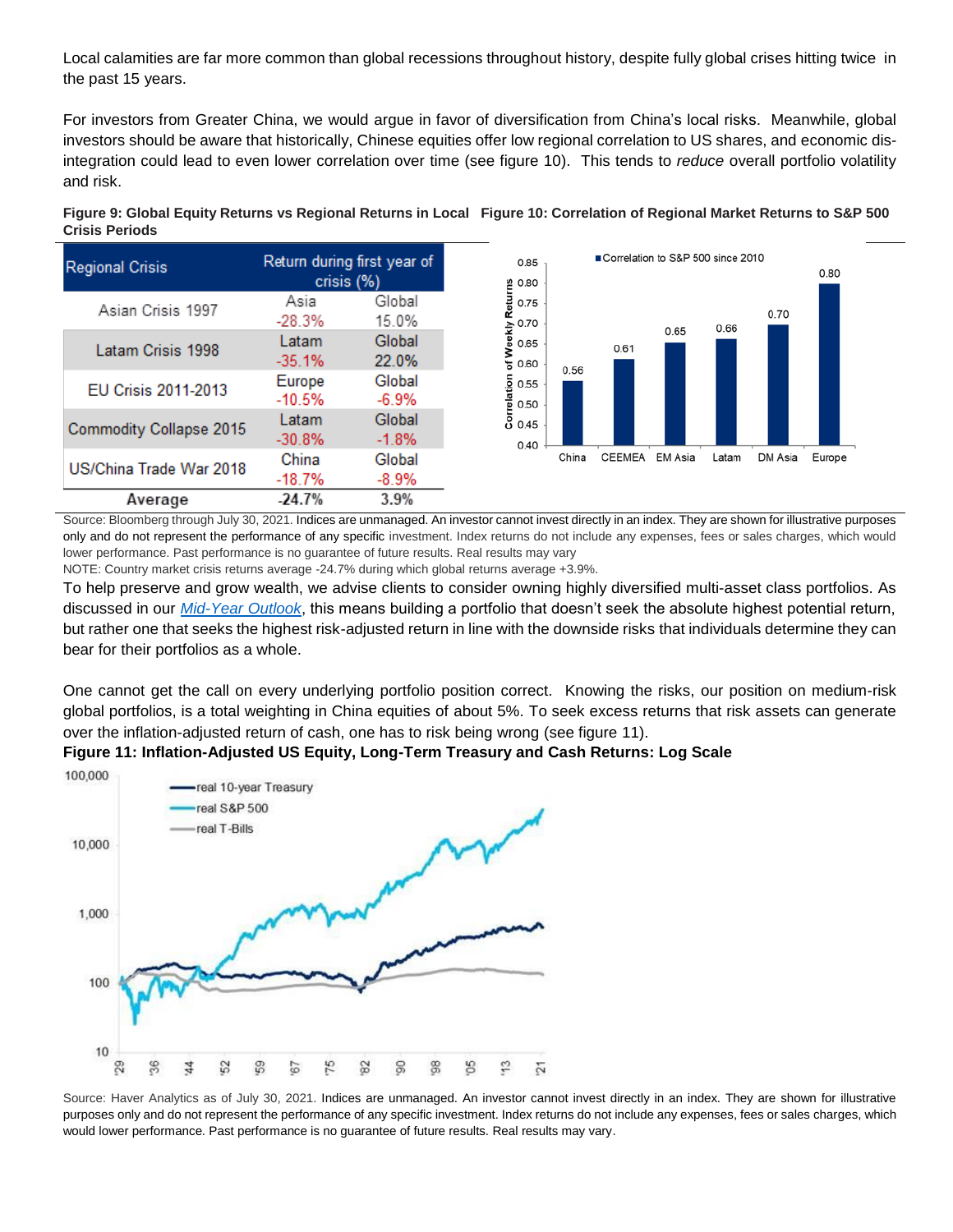Local calamities are far more common than global recessions throughout history, despite fully global crises hitting twice in the past 15 years.

For investors from Greater China, we would argue in favor of diversification from China's local risks. Meanwhile, global investors should be aware that historically, Chinese equities offer low regional correlation to US shares, and economic disintegration could lead to even lower correlation over time (see figure 10). This tends to *reduce* overall portfolio volatility and risk.



**Figure 9: Global Equity Returns vs Regional Returns in Local Figure 10: Correlation of Regional Market Returns to S&P 500 Crisis Periods**

Source: Bloomberg through July 30, 2021. Indices are unmanaged. An investor cannot invest directly in an index. They are shown for illustrative purposes only and do not represent the performance of any specific investment. Index returns do not include any expenses, fees or sales charges, which would lower performance. Past performance is no guarantee of future results. Real results may vary

NOTE: Country market crisis returns average -24.7% during which global returns average +3.9%.

To help preserve and grow wealth, we advise clients to consider owning highly diversified multi-asset class portfolios. As discussed in our *[Mid-Year Outlook](https://www.privatebank.citibank.com/newcpb-media/media/documents/outlook/Mid-Year-Outlook-2021_Citi-Global-Wealth-Investments.pdf)*, this means building a portfolio that doesn't seek the absolute highest potential return, but rather one that seeks the highest risk-adjusted return in line with the downside risks that individuals determine they can bear for their portfolios as a whole.

One cannot get the call on every underlying portfolio position correct. Knowing the risks, our position on medium-risk global portfolios, is a total weighting in China equities of about 5%. To seek excess returns that risk assets can generate over the inflation-adjusted return of cash, one has to risk being wrong (see figure 11).

#### **Figure 11: Inflation-Adjusted US Equity, Long-Term Treasury and Cash Returns: Log Scale**



Source: Haver Analytics as of July 30, 2021. Indices are unmanaged. An investor cannot invest directly in an index. They are shown for illustrative purposes only and do not represent the performance of any specific investment. Index returns do not include any expenses, fees or sales charges, which would lower performance. Past performance is no guarantee of future results. Real results may vary.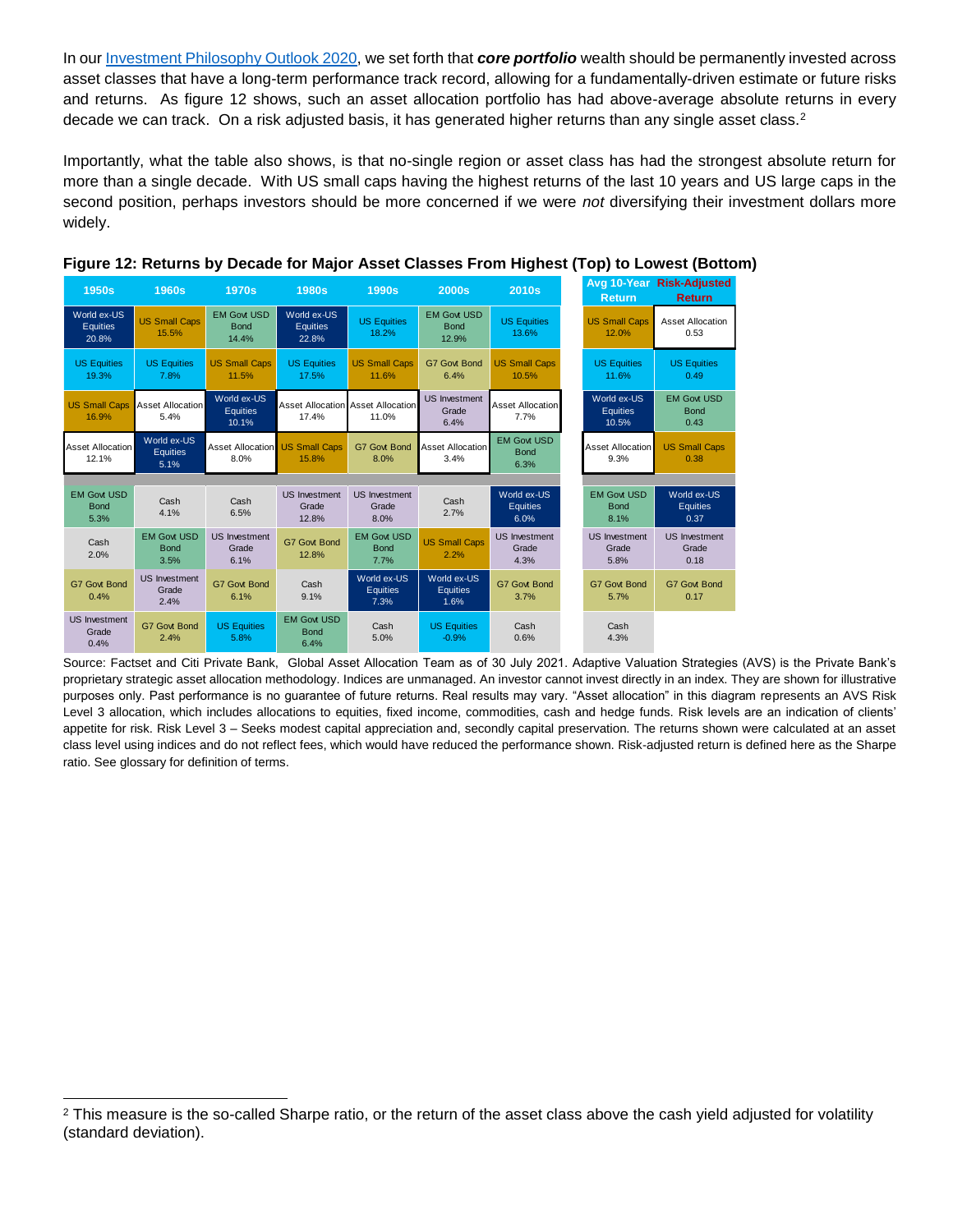In our [Investment Philosophy](https://www.privatebank.citibank.com/newcpb-media/media/documents/outlook/Outlook-2020.pdf) Outlook 2020, we set forth that *core portfolio* wealth should be permanently invested across asset classes that have a long-term performance track record, allowing for a fundamentally-driven estimate or future risks and returns. As figure 12 shows, such an asset allocation portfolio has had above-average absolute returns in every decade we can track. On a risk adjusted basis, it has generated higher returns than any single asset class.<sup>2</sup>

Importantly, what the table also shows, is that no-single region or asset class has had the strongest absolute return for more than a single decade. With US small caps having the highest returns of the last 10 years and US large caps in the second position, perhaps investors should be more concerned if we were *not* diversifying their investment dollars more widely.

| <b>1950s</b>                              | <b>1960s</b>                              | <b>1970s</b>                                  | <b>1980s</b>                              | <b>1990s</b>                                      | 2000s                                      | <b>2010s</b>                              | <b>Return</b>                             | Avg 10-Year Risk-Adjusted<br><b>Return</b> |
|-------------------------------------------|-------------------------------------------|-----------------------------------------------|-------------------------------------------|---------------------------------------------------|--------------------------------------------|-------------------------------------------|-------------------------------------------|--------------------------------------------|
| World ex-US<br><b>Equities</b><br>20.8%   | <b>US Small Caps</b><br>15.5%             | <b>EM Govt USD</b><br><b>Bond</b><br>14.4%    | World ex-US<br><b>Equities</b><br>22.8%   | <b>US Equities</b><br>18.2%                       | <b>EM Govt USD</b><br><b>Bond</b><br>12.9% | <b>US Equities</b><br>13.6%               | <b>US Small Caps</b><br>12.0%             | <b>Asset Allocation</b><br>0.53            |
| <b>US Equities</b><br>19.3%               | <b>US Equities</b><br>7.8%                | <b>US Small Caps</b><br>11.5%                 | <b>US Equities</b><br>17.5%               | <b>US Small Caps</b><br>11.6%                     | <b>G7 Govt Bond</b><br>6.4%                | <b>US Small Caps</b><br>10.5%             | <b>US Equities</b><br>11.6%               | <b>US Equities</b><br>0.49                 |
| <b>US Small Caps</b><br>16.9%             | <b>Asset Allocation</b><br>5.4%           | World ex-US<br><b>Equities</b><br>10.1%       | 17.4%                                     | <b>Asset Allocation Asset Allocation</b><br>11.0% | <b>US Investment</b><br>Grade<br>6.4%      | <b>Asset Allocation</b><br>7.7%           | World ex-US<br><b>Equities</b><br>10.5%   | <b>EM Govt USD</b><br><b>Bond</b><br>0.43  |
| <b>Asset Allocation</b><br>12.1%          | World ex-US<br><b>Equities</b><br>5.1%    | <b>Asset Allocation US Small Caps</b><br>8.0% | 15.8%                                     | <b>G7 Govt Bond</b><br>8.0%                       | <b>Asset Allocation</b><br>3.4%            | <b>EM Govt USD</b><br><b>Bond</b><br>6.3% | <b>Asset Allocation</b><br>9.3%           | <b>US Small Caps</b><br>0.38               |
| <b>EM Govt USD</b><br><b>Bond</b><br>5.3% | Cash<br>4.1%                              | Cash<br>6.5%                                  | <b>US</b> Investment<br>Grade<br>12.8%    | <b>US Investment</b><br>Grade<br>8.0%             | Cash<br>2.7%                               | World ex-US<br><b>Equities</b><br>6.0%    | <b>EM Govt USD</b><br><b>Bond</b><br>8.1% | World ex-US<br><b>Equities</b><br>0.37     |
| Cash<br>2.0%                              | <b>EM Govt USD</b><br><b>Bond</b><br>3.5% | <b>US Investment</b><br>Grade<br>6.1%         | <b>G7 Govt Bond</b><br>12.8%              | <b>EM Govt USD</b><br><b>Bond</b><br>7.7%         | <b>US Small Caps</b><br>2.2%               | <b>US Investment</b><br>Grade<br>4.3%     | <b>US Investment</b><br>Grade<br>5.8%     | <b>US Investment</b><br>Grade<br>0.18      |
| <b>G7 Govt Bond</b><br>0.4%               | <b>US Investment</b><br>Grade<br>2.4%     | <b>G7 Govt Bond</b><br>6.1%                   | Cash<br>9.1%                              | World ex-US<br><b>Equities</b><br>7.3%            | World ex-US<br><b>Equities</b><br>1.6%     | <b>G7 Govt Bond</b><br>3.7%               | <b>G7 Govt Bond</b><br>5.7%               | <b>G7 Govt Bond</b><br>0.17                |
| <b>US Investment</b><br>Grade<br>0.4%     | <b>G7 Govt Bond</b><br>2.4%               | <b>US Equities</b><br>5.8%                    | <b>EM Govt USD</b><br><b>Bond</b><br>6.4% | Cash<br>5.0%                                      | <b>US Equities</b><br>$-0.9%$              | Cash<br>0.6%                              | Cash<br>4.3%                              |                                            |



Source: Factset and Citi Private Bank, Global Asset Allocation Team as of 30 July 2021. Adaptive Valuation Strategies (AVS) is the Private Bank's proprietary strategic asset allocation methodology. Indices are unmanaged. An investor cannot invest directly in an index. They are shown for illustrative purposes only. Past performance is no guarantee of future returns. Real results may vary. "Asset allocation" in this diagram represents an AVS Risk Level 3 allocation, which includes allocations to equities, fixed income, commodities, cash and hedge funds. Risk levels are an indication of clients' appetite for risk. Risk Level 3 – Seeks modest capital appreciation and, secondly capital preservation. The returns shown were calculated at an asset class level using indices and do not reflect fees, which would have reduced the performance shown. Risk-adjusted return is defined here as the Sharpe ratio. See glossary for definition of terms.

l

 $2$  This measure is the so-called Sharpe ratio, or the return of the asset class above the cash yield adjusted for volatility (standard deviation).